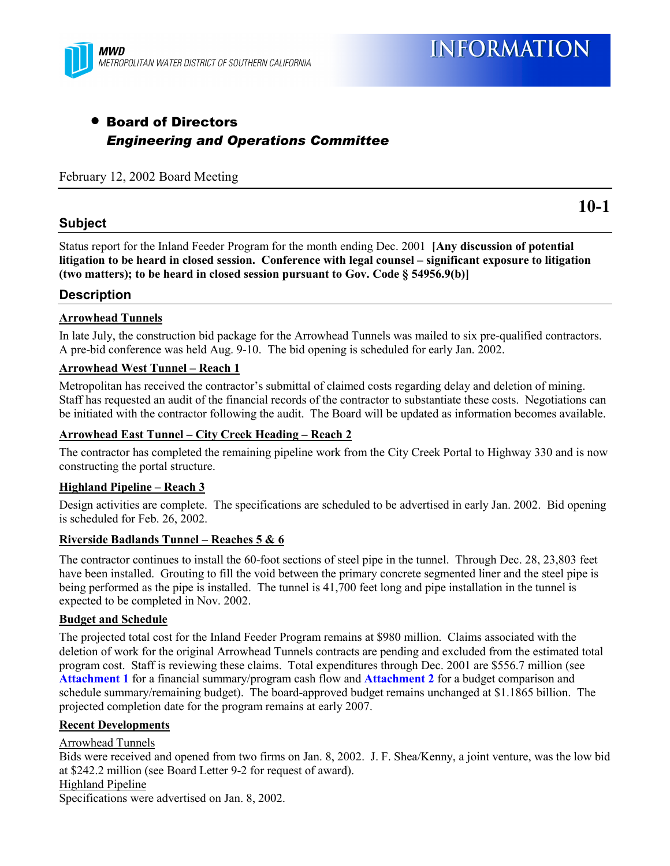

## • Board of Directors *Engineering and Operations Committee*

#### February 12, 2002 Board Meeting

#### **Subject**

**10-1**

Status report for the Inland Feeder Program for the month ending Dec. 2001 **[Any discussion of potential litigation to be heard in closed session. Conference with legal counsel – significant exposure to litigation (two matters); to be heard in closed session pursuant to Gov. Code § 54956.9(b)]**

#### **Description**

#### **Arrowhead Tunnels**

In late July, the construction bid package for the Arrowhead Tunnels was mailed to six pre-qualified contractors. A pre-bid conference was held Aug. 9-10. The bid opening is scheduled for early Jan. 2002.

#### **Arrowhead West Tunnel – Reach 1**

Metropolitan has received the contractor's submittal of claimed costs regarding delay and deletion of mining. Staff has requested an audit of the financial records of the contractor to substantiate these costs. Negotiations can be initiated with the contractor following the audit. The Board will be updated as information becomes available.

#### **Arrowhead East Tunnel – City Creek Heading – Reach 2**

The contractor has completed the remaining pipeline work from the City Creek Portal to Highway 330 and is now constructing the portal structure.

#### **Highland Pipeline – Reach 3**

Design activities are complete. The specifications are scheduled to be advertised in early Jan. 2002. Bid opening is scheduled for Feb. 26, 2002.

#### **Riverside Badlands Tunnel – Reaches 5 & 6**

The contractor continues to install the 60-foot sections of steel pipe in the tunnel. Through Dec. 28, 23,803 feet have been installed. Grouting to fill the void between the primary concrete segmented liner and the steel pipe is being performed as the pipe is installed. The tunnel is 41,700 feet long and pipe installation in the tunnel is expected to be completed in Nov. 2002.

#### **Budget and Schedule**

The projected total cost for the Inland Feeder Program remains at \$980 million. Claims associated with the deletion of work for the original Arrowhead Tunnels contracts are pending and excluded from the estimated total program cost. Staff is reviewing these claims. Total expenditures through Dec. 2001 are \$556.7 million (see **Attachment 1** for a financial summary/program cash flow and **Attachment 2** for a budget comparison and schedule summary/remaining budget). The board-approved budget remains unchanged at \$1.1865 billion. The projected completion date for the program remains at early 2007.

#### **Recent Developments**

Arrowhead Tunnels

Bids were received and opened from two firms on Jan. 8, 2002. J. F. Shea/Kenny, a joint venture, was the low bid at \$242.2 million (see Board Letter 9-2 for request of award). Highland Pipeline

Specifications were advertised on Jan. 8, 2002.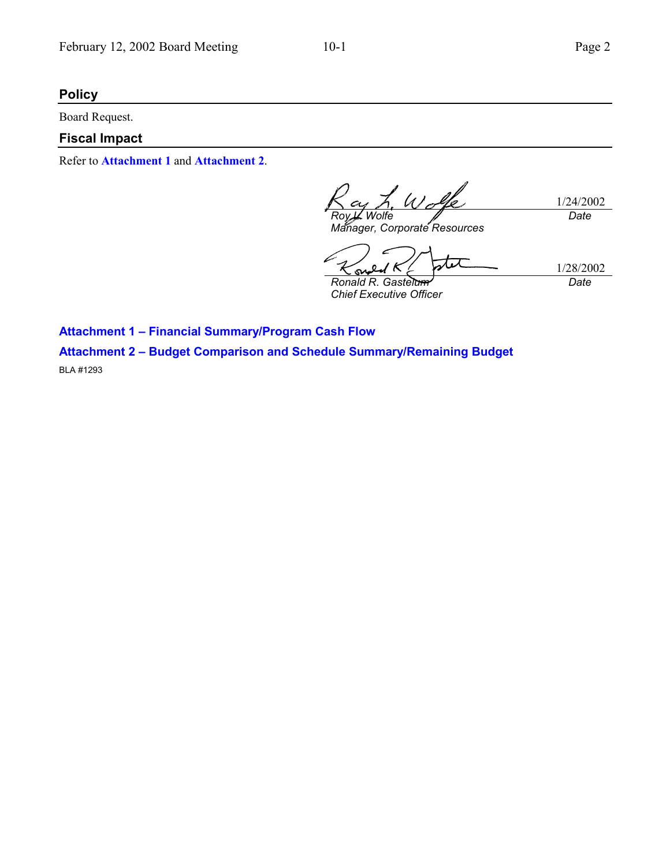## **Policy**

Board Request.

### **Fiscal Impact**

Refer to **Attachment 1** and **Attachment 2**.

L. Wolfe 1/24/2002 *Roy L. Wolfe Date*

*Manager, Corporate Resources*

 $\mathbf o$ <u>on</u> *Ronald R. Gastelum*

1/28/2002 *Date*

*Chief Executive Officer*

**Attachment 1 – Financial Summary/Program Cash Flow Attachment 2 – Budget Comparison and Schedule Summary/Remaining Budget**

BLA #1293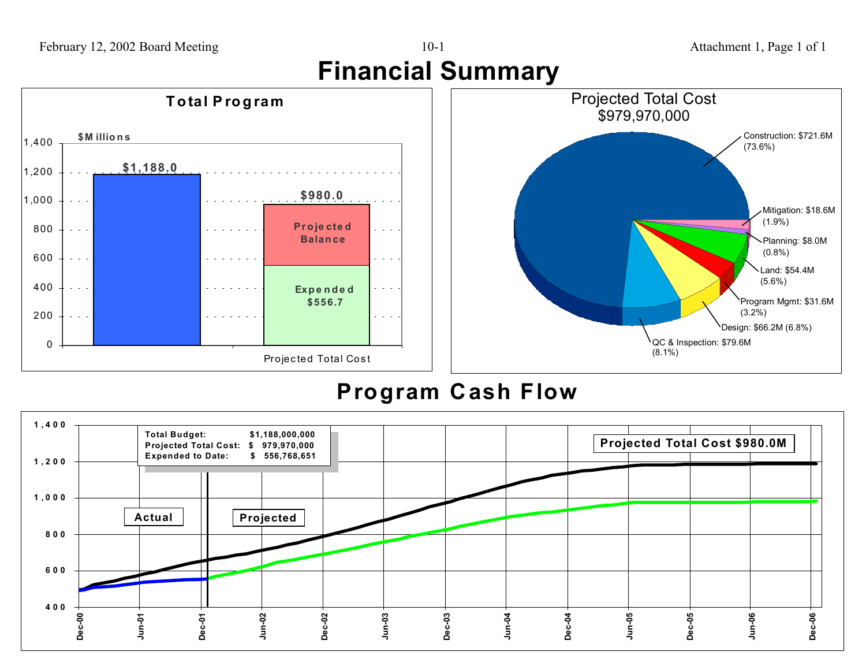





# **Program Cash Flow**